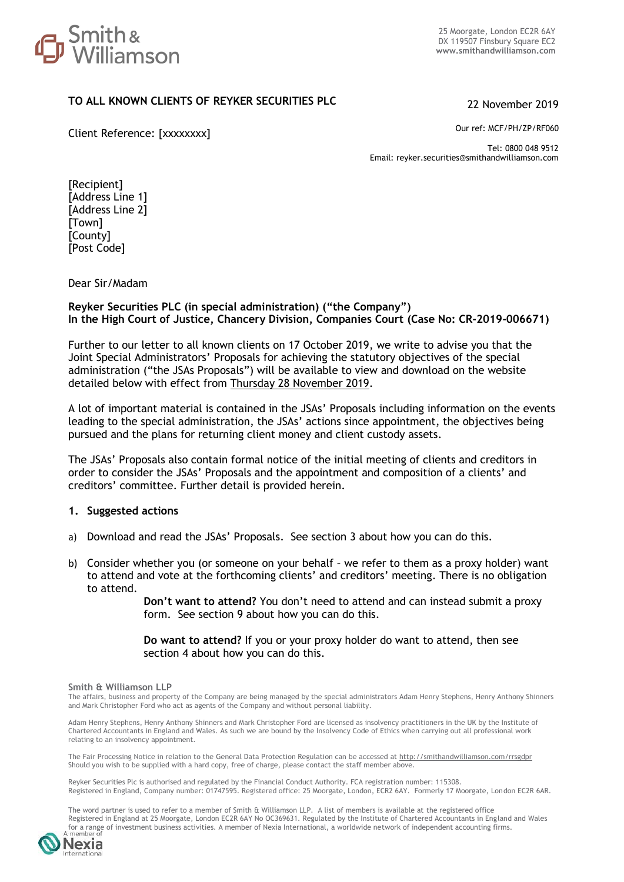

## TO ALL KNOWN CLIENTS OF REYKER SECURITIES PLC 22 November 2019

Client Reference: [xxxxxxxx]

Our ref: MCF/PH/ZP/RF060

Tel: [0800](tel:0800) 048 9512 Email: reyker.securities@smithandwilliamson.com

[Recipient] [Address Line 1] [Address Line 2] [Town] [County] [Post Code]

Dear Sir/Madam

## **Reyker Securities PLC (in special administration) ("the Company") In the High Court of Justice, Chancery Division, Companies Court (Case No: CR-2019-006671)**

Further to our letter to all known clients on 17 October 2019, we write to advise you that the Joint Special Administrators' Proposals for achieving the statutory objectives of the special administration ("the JSAs Proposals") will be available to view and download on the website detailed below with effect from Thursday 28 November 2019.

A lot of important material is contained in the JSAs' Proposals including information on the events leading to the special administration, the JSAs' actions since appointment, the objectives being pursued and the plans for returning client money and client custody assets.

The JSAs' Proposals also contain formal notice of the initial meeting of clients and creditors in order to consider the JSAs' Proposals and the appointment and composition of a clients' and creditors' committee. Further detail is provided herein.

### **1. Suggested actions**

- a) Download and read the JSAs' Proposals. See section 3 about how you can do this.
- b) Consider whether you (or someone on your behalf we refer to them as a proxy holder) want to attend and vote at the forthcoming clients' and creditors' meeting. There is no obligation to attend.

**Don't want to attend?** You don't need to attend and can instead submit a proxy form. See section 9 about how you can do this.

**Do want to attend?** If you or your proxy holder do want to attend, then see section 4 about how you can do this.

#### **Smith & Williamson LLP**

The affairs, business and property of the Company are being managed by the special administrators Adam Henry Stephens, Henry Anthony Shinners and Mark Christopher Ford who act as agents of the Company and without personal liability.

Adam Henry Stephens, Henry Anthony Shinners and Mark Christopher Ford are licensed as insolvency practitioners in the UK by the Institute of Chartered Accountants in England and Wales. As such we are bound by the Insolvency Code of Ethics when carrying out all professional work relating to an insolvency appointment.

The Fair Processing Notice in relation to the General Data Protection Regulation can be accessed at<http://smithandwilliamson.com/rrsgdpr> Should you wish to be supplied with a hard copy, free of charge, please contact the staff member above.

Reyker Securities Plc is authorised and regulated by the Financial Conduct Authority. FCA registration number: 115308. Registered in England, Company number: 01747595. Registered office: 25 Moorgate, London, ECR2 6AY. Formerly 17 Moorgate, London EC2R 6AR.

The word partner is used to refer to a member of Smith & Williamson LLP. A list of members is available at the registered office Registered in England at 25 Moorgate, London EC2R 6AY No OC369631. Regulated by the Institute of Chartered Accountants in England and Wales for a range of investment business activities. A member of Nexia International, a worldwide network of independent accounting firms.

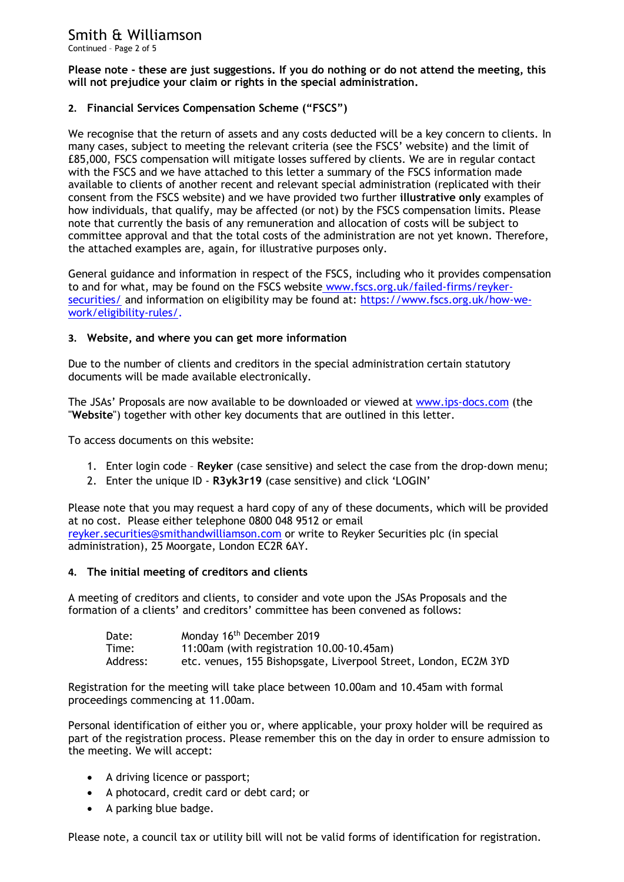Smith & Williamson Continued – Page 2 of 5

**Please note - these are just suggestions. If you do nothing or do not attend the meeting, this will not prejudice your claim or rights in the special administration.**

## **2. Financial Services Compensation Scheme ("FSCS")**

We recognise that the return of assets and any costs deducted will be a key concern to clients. In many cases, subject to meeting the relevant criteria (see the FSCS' website) and the limit of £85,000, FSCS compensation will mitigate losses suffered by clients. We are in regular contact with the FSCS and we have attached to this letter a summary of the FSCS information made available to clients of another recent and relevant special administration (replicated with their consent from the FSCS website) and we have provided two further **illustrative only** examples of how individuals, that qualify, may be affected (or not) by the FSCS compensation limits. Please note that currently the basis of any remuneration and allocation of costs will be subject to committee approval and that the total costs of the administration are not yet known. Therefore, the attached examples are, again, for illustrative purposes only.

General guidance and information in respect of the FSCS, including who it provides compensation to and for what, may be found on the FSCS website [www.fscs.org.uk/failed-firms/reyker](http://www.fscs.org.uk/failed-firms/reyker-securities/)[securities/](http://www.fscs.org.uk/failed-firms/reyker-securities/) and information on eligibility may be found at: [https://www.fscs.org.uk/how-we](https://protect-eu.mimecast.com/s/tYBNCjR00sl9jNocWH98l?domain=fscs.org.uk)[work/eligibility-rules/.](https://protect-eu.mimecast.com/s/tYBNCjR00sl9jNocWH98l?domain=fscs.org.uk)

### **3. Website, and where you can get more information**

Due to the number of clients and creditors in the special administration certain statutory documents will be made available electronically.

The JSAs' Proposals are now available to be downloaded or viewed at [www.ips-docs.com](http://www.ips-docs.com/) (the "**Website**") together with other key documents that are outlined in this letter.

To access documents on this website:

- 1. Enter login code **Reyker** (case sensitive) and select the case from the drop-down menu;
- 2. Enter the unique ID **R3yk3r19** (case sensitive) and click 'LOGIN'

Please note that you may request a hard copy of any of these documents, which will be provided at no cost. Please either telephone 0800 048 9512 or email [reyker.securities@smithandwilliamson.com](mailto:reyker.securities@smithandwilliamson.com) or write to Reyker Securities plc (in special administration), 25 Moorgate, London EC2R 6AY.

### **4. The initial meeting of creditors and clients**

A meeting of creditors and clients, to consider and vote upon the JSAs Proposals and the formation of a clients' and creditors' committee has been convened as follows:

| Date:    | Monday 16 <sup>th</sup> December 2019                            |
|----------|------------------------------------------------------------------|
| Time:    | 11:00am (with registration 10.00-10.45am)                        |
| Address: | etc. venues, 155 Bishopsgate, Liverpool Street, London, EC2M 3YD |

Registration for the meeting will take place between 10.00am and 10.45am with formal proceedings commencing at 11.00am.

Personal identification of either you or, where applicable, your proxy holder will be required as part of the registration process. Please remember this on the day in order to ensure admission to the meeting. We will accept:

- A driving licence or passport;
- A photocard, credit card or debt card; or
- A parking blue badge.

Please note, a council tax or utility bill will not be valid forms of identification for registration.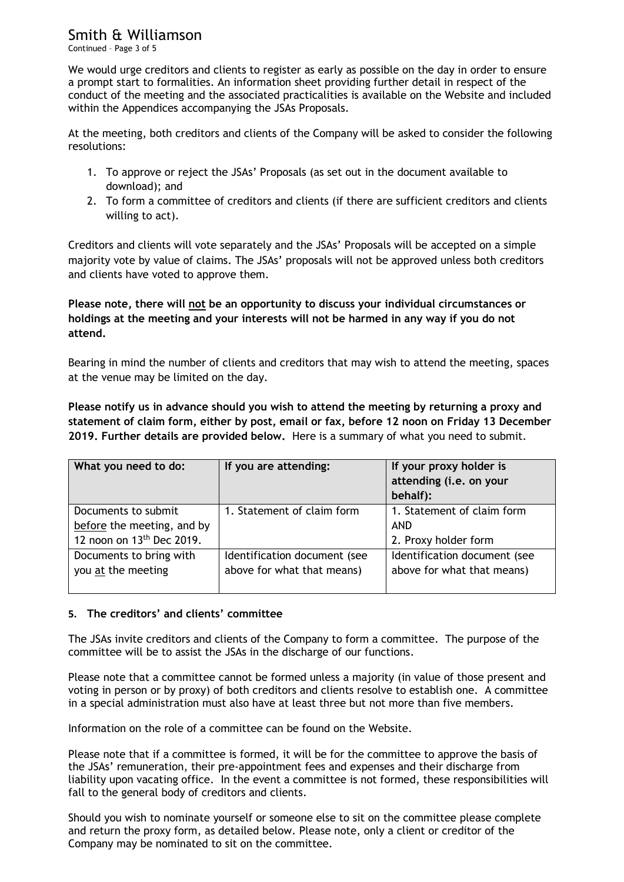Smith & Williamson

Continued – Page 3 of 5

We would urge creditors and clients to register as early as possible on the day in order to ensure a prompt start to formalities. An information sheet providing further detail in respect of the conduct of the meeting and the associated practicalities is available on the Website and included within the Appendices accompanying the JSAs Proposals.

At the meeting, both creditors and clients of the Company will be asked to consider the following resolutions:

- 1. To approve or reject the JSAs' Proposals (as set out in the document available to download); and
- 2. To form a committee of creditors and clients (if there are sufficient creditors and clients willing to act).

Creditors and clients will vote separately and the JSAs' Proposals will be accepted on a simple majority vote by value of claims. The JSAs' proposals will not be approved unless both creditors and clients have voted to approve them.

**Please note, there will not be an opportunity to discuss your individual circumstances or holdings at the meeting and your interests will not be harmed in any way if you do not attend.** 

Bearing in mind the number of clients and creditors that may wish to attend the meeting, spaces at the venue may be limited on the day.

**Please notify us in advance should you wish to attend the meeting by returning a proxy and statement of claim form, either by post, email or fax, before 12 noon on Friday 13 December 2019. Further details are provided below.** Here is a summary of what you need to submit.

| What you need to do:                              | If you are attending:                                      | If your proxy holder is<br>attending (i.e. on your<br>behalf): |
|---------------------------------------------------|------------------------------------------------------------|----------------------------------------------------------------|
| Documents to submit<br>before the meeting, and by | 1. Statement of claim form                                 | 1. Statement of claim form<br>AND                              |
| 12 noon on 13 <sup>th</sup> Dec 2019.             |                                                            | 2. Proxy holder form                                           |
| Documents to bring with<br>you at the meeting     | Identification document (see<br>above for what that means) | Identification document (see<br>above for what that means)     |

### **5. The creditors' and clients' committee**

The JSAs invite creditors and clients of the Company to form a committee. The purpose of the committee will be to assist the JSAs in the discharge of our functions.

Please note that a committee cannot be formed unless a majority (in value of those present and voting in person or by proxy) of both creditors and clients resolve to establish one. A committee in a special administration must also have at least three but not more than five members.

Information on the role of a committee can be found on the Website.

Please note that if a committee is formed, it will be for the committee to approve the basis of the JSAs' remuneration, their pre-appointment fees and expenses and their discharge from liability upon vacating office. In the event a committee is not formed, these responsibilities will fall to the general body of creditors and clients.

Should you wish to nominate yourself or someone else to sit on the committee please complete and return the proxy form, as detailed below. Please note, only a client or creditor of the Company may be nominated to sit on the committee.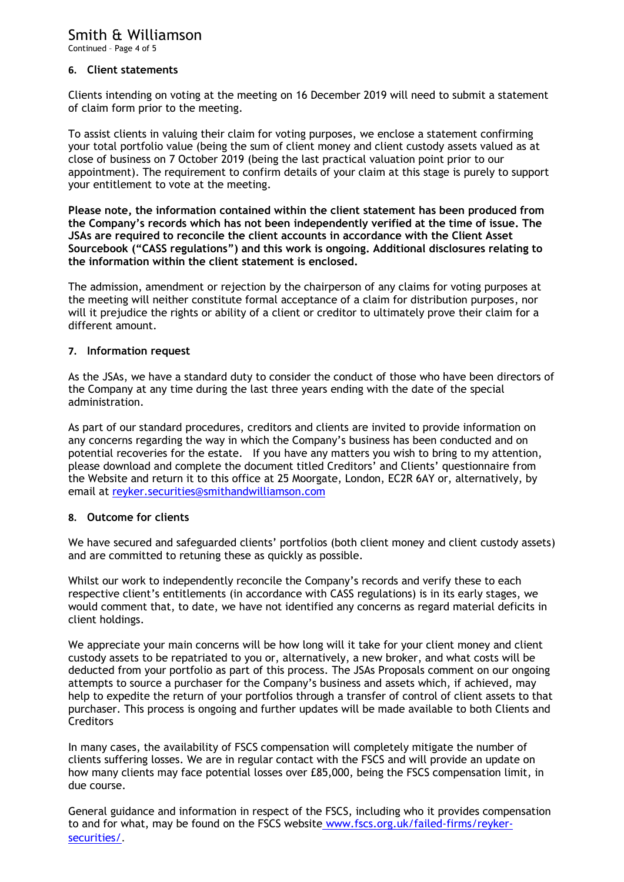# Smith & Williamson

Continued – Page 4 of 5

### **6. Client statements**

Clients intending on voting at the meeting on 16 December 2019 will need to submit a statement of claim form prior to the meeting.

To assist clients in valuing their claim for voting purposes, we enclose a statement confirming your total portfolio value (being the sum of client money and client custody assets valued as at close of business on 7 October 2019 (being the last practical valuation point prior to our appointment). The requirement to confirm details of your claim at this stage is purely to support your entitlement to vote at the meeting.

**Please note, the information contained within the client statement has been produced from the Company's records which has not been independently verified at the time of issue. The JSAs are required to reconcile the client accounts in accordance with the Client Asset Sourcebook ("CASS regulations") and this work is ongoing. Additional disclosures relating to the information within the client statement is enclosed.**

The admission, amendment or rejection by the chairperson of any claims for voting purposes at the meeting will neither constitute formal acceptance of a claim for distribution purposes, nor will it prejudice the rights or ability of a client or creditor to ultimately prove their claim for a different amount.

### **7. Information request**

As the JSAs, we have a standard duty to consider the conduct of those who have been directors of the Company at any time during the last three years ending with the date of the special administration.

As part of our standard procedures, creditors and clients are invited to provide information on any concerns regarding the way in which the Company's business has been conducted and on potential recoveries for the estate. If you have any matters you wish to bring to my attention, please download and complete the document titled Creditors' and Clients' questionnaire from [the](http://www.ips-docs.com/) Website and return it to this office at 25 Moorgate, London, EC2R 6AY or, alternatively, by email at [reyker.securities@smithandwilliamson.com](mailto:reyker.securities@smithandwilliamson.com)

### **8. Outcome for clients**

We have secured and safeguarded clients' portfolios (both client money and client custody assets) and are committed to retuning these as quickly as possible.

Whilst our work to independently reconcile the Company's records and verify these to each respective client's entitlements (in accordance with CASS regulations) is in its early stages, we would comment that, to date, we have not identified any concerns as regard material deficits in client holdings.

We appreciate your main concerns will be how long will it take for your client money and client custody assets to be repatriated to you or, alternatively, a new broker, and what costs will be deducted from your portfolio as part of this process. The JSAs Proposals comment on our ongoing attempts to source a purchaser for the Company's business and assets which, if achieved, may help to expedite the return of your portfolios through a transfer of control of client assets to that purchaser. This process is ongoing and further updates will be made available to both Clients and **Creditors** 

In many cases, the availability of FSCS compensation will completely mitigate the number of clients suffering losses. We are in regular contact with the FSCS and will provide an update on how many clients may face potential losses over £85,000, being the FSCS compensation limit, in due course.

General guidance and information in respect of the FSCS, including who it provides compensation to and for what, may be found on the FSCS website [www.fscs.org.uk/failed-firms/reyker](http://www.fscs.org.uk/failed-firms/reyker-securities/)[securities/](http://www.fscs.org.uk/failed-firms/reyker-securities/).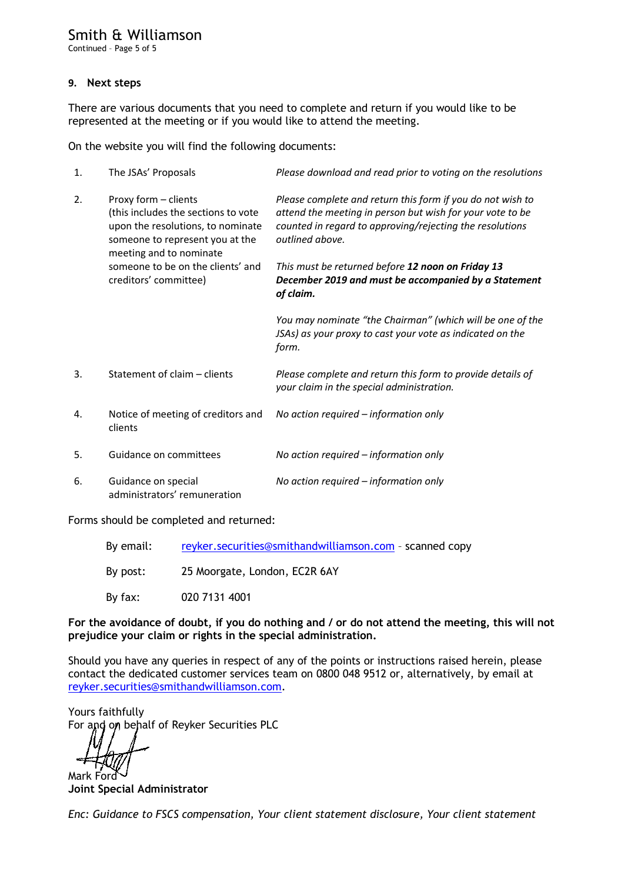# Smith & Williamson

Continued – Page 5 of 5

### **9. Next steps**

There are various documents that you need to complete and return if you would like to be represented at the meeting or if you would like to attend the meeting.

On the website you will find the following documents:

| 1. | The JSAs' Proposals                                                                                                                                            | Please download and read prior to voting on the resolutions                                                                                                                                            |
|----|----------------------------------------------------------------------------------------------------------------------------------------------------------------|--------------------------------------------------------------------------------------------------------------------------------------------------------------------------------------------------------|
| 2. | Proxy form - clients<br>(this includes the sections to vote<br>upon the resolutions, to nominate<br>someone to represent you at the<br>meeting and to nominate | Please complete and return this form if you do not wish to<br>attend the meeting in person but wish for your vote to be<br>counted in regard to approving/rejecting the resolutions<br>outlined above. |
|    | someone to be on the clients' and<br>creditors' committee)                                                                                                     | This must be returned before 12 noon on Friday 13<br>December 2019 and must be accompanied by a Statement<br>of claim.                                                                                 |
|    |                                                                                                                                                                | You may nominate "the Chairman" (which will be one of the<br>JSAs) as your proxy to cast your vote as indicated on the<br>form.                                                                        |
| 3. | Statement of claim - clients                                                                                                                                   | Please complete and return this form to provide details of<br>your claim in the special administration.                                                                                                |
| 4. | Notice of meeting of creditors and<br>clients                                                                                                                  | No action required - information only                                                                                                                                                                  |
| 5. | Guidance on committees                                                                                                                                         | No action required - information only                                                                                                                                                                  |
| 6. | Guidance on special<br>administrators' remuneration                                                                                                            | No action required - information only                                                                                                                                                                  |

Forms should be completed and returned:

| By email: | reyker.securities@smithandwilliamson.com - scanned copy |
|-----------|---------------------------------------------------------|
| By post:  | 25 Moorgate, London, EC2R 6AY                           |
| By fax:   | 020 7131 4001                                           |

### **For the avoidance of doubt, if you do nothing and / or do not attend the meeting, this will not prejudice your claim or rights in the special administration.**

Should you have any queries in respect of any of the points or instructions raised herein, please contact the dedicated customer services team on 0800 048 9512 or, alternatively, by email at [reyker.securities@smithandwilliamson.com.](mailto:reyker.securities@smithandwilliamson.com)

Yours faithfully For and on behalf of Reyker Securities PLC

Mark Ford

**Joint Special Administrator**

*Enc: Guidance to FSCS compensation, Your client statement disclosure, Your client statement*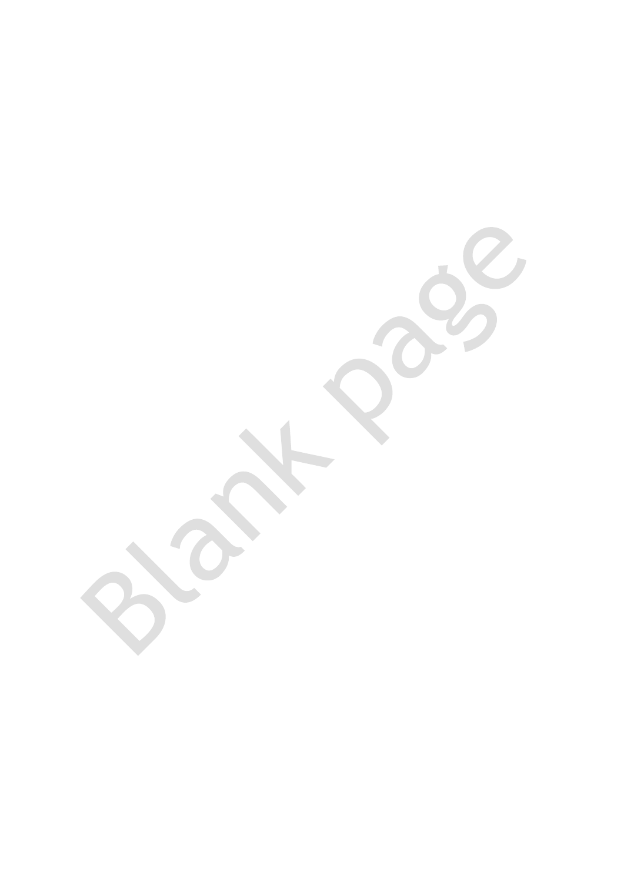**Brant Page**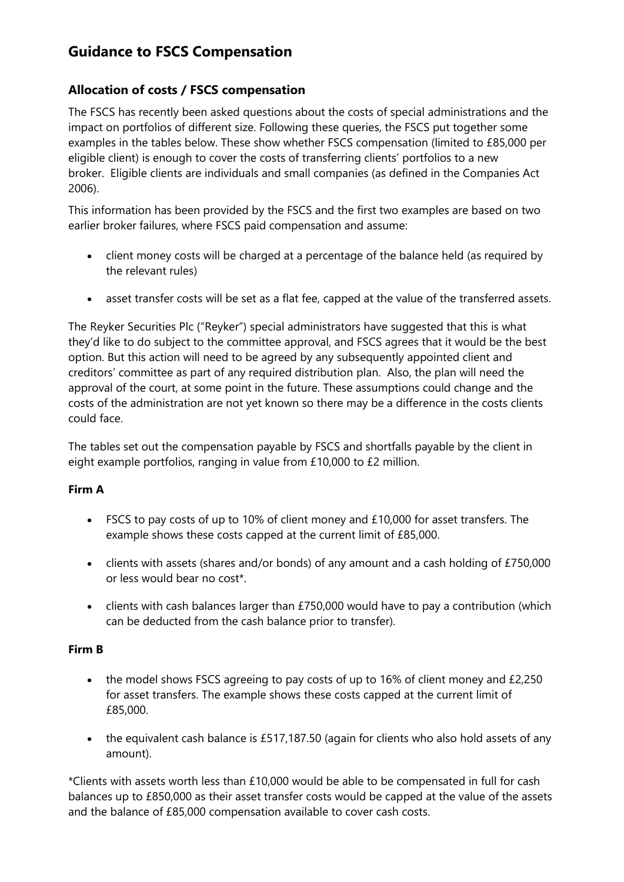# **Guidance to FSCS Compensation**

# **Allocation of costs / FSCS compensation**

The FSCS has recently been asked questions about the costs of special administrations and the impact on portfolios of different size. Following these queries, the FSCS put together some examples in the tables below. These show whether FSCS compensation (limited to £85,000 per eligible client) is enough to cover the costs of transferring clients' portfolios to a new broker. Eligible clients are individuals and small companies (as defined in the Companies Act 2006).

This information has been provided by the FSCS and the first two examples are based on two earlier broker failures, where FSCS paid compensation and assume:

- client money costs will be charged at a percentage of the balance held (as required by the relevant rules)
- asset transfer costs will be set as a flat fee, capped at the value of the transferred assets.

The Reyker Securities Plc ("Reyker") special administrators have suggested that this is what they'd like to do subject to the committee approval, and FSCS agrees that it would be the best option. But this action will need to be agreed by any subsequently appointed client and creditors' committee as part of any required distribution plan. Also, the plan will need the approval of the court, at some point in the future. These assumptions could change and the costs of the administration are not yet known so there may be a difference in the costs clients could face.

The tables set out the compensation payable by FSCS and shortfalls payable by the client in eight example portfolios, ranging in value from £10,000 to £2 million.

## **Firm A**

- FSCS to pay costs of up to 10% of client money and £10,000 for asset transfers. The example shows these costs capped at the current limit of £85,000.
- clients with assets (shares and/or bonds) of any amount and a cash holding of £750,000 or less would bear no cost\*.
- clients with cash balances larger than £750,000 would have to pay a contribution (which can be deducted from the cash balance prior to transfer).

## **Firm B**

- the model shows FSCS agreeing to pay costs of up to 16% of client money and £2,250 for asset transfers. The example shows these costs capped at the current limit of £85,000.
- the equivalent cash balance is £517,187.50 (again for clients who also hold assets of any amount).

\*Clients with assets worth less than £10,000 would be able to be compensated in full for cash balances up to £850,000 as their asset transfer costs would be capped at the value of the assets and the balance of £85,000 compensation available to cover cash costs.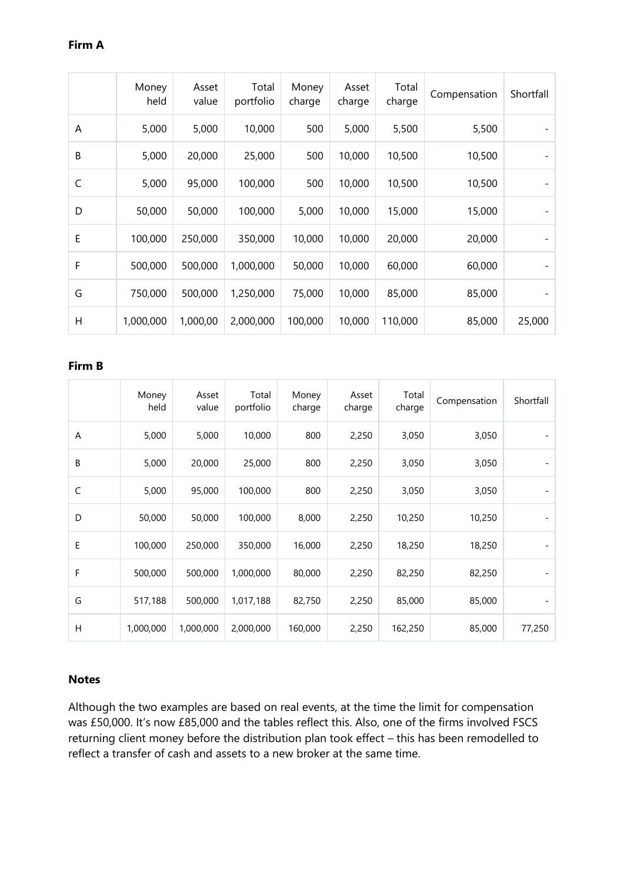|   | Money<br>held | Asset<br>value | Total<br>portfolio | Money<br>charge | Asset<br>charge | Total<br>charge | Compensation | Shortfall |
|---|---------------|----------------|--------------------|-----------------|-----------------|-----------------|--------------|-----------|
| A | 5,000         | 5,000          | 10,000             | 500             | 5,000           | 5,500           | 5,500        |           |
| B | 5,000         | 20,000         | 25,000             | 500             | 10,000          | 10,500          | 10,500       |           |
| C | 5,000         | 95,000         | 100,000            | 500             | 10,000          | 10,500          | 10,500       |           |
| D | 50,000        | 50,000         | 100,000            | 5,000           | 10,000          | 15,000          | 15,000       |           |
| Е | 100,000       | 250,000        | 350,000            | 10,000          | 10,000          | 20,000          | 20,000       |           |
| F | 500,000       | 500,000        | 1,000,000          | 50,000          | 10,000          | 60,000          | 60,000       |           |
| G | 750,000       | 500,000        | 1,250,000          | 75,000          | 10,000          | 85,000          | 85,000       |           |
| H | 1,000,000     | 1,000,00       | 2,000,000          | 100,000         | 10,000          | 110,000         | 85,000       | 25,000    |

## **Firm B**

|   | Money<br>held | Asset<br>value | Total<br>portfolio | Money<br>charge | Asset<br>charge | Total<br>charge | Compensation | Shortfall |
|---|---------------|----------------|--------------------|-----------------|-----------------|-----------------|--------------|-----------|
| A | 5,000         | 5,000          | 10,000             | 800             | 2,250           | 3,050           | 3,050        |           |
| B | 5,000         | 20,000         | 25,000             | 800             | 2,250           | 3,050           | 3,050        |           |
| C | 5,000         | 95,000         | 100,000            | 800             | 2,250           | 3,050           | 3,050        |           |
| D | 50,000        | 50,000         | 100,000            | 8,000           | 2,250           | 10,250          | 10,250       |           |
| Ε | 100,000       | 250,000        | 350,000            | 16,000          | 2,250           | 18,250          | 18,250       |           |
| F | 500,000       | 500,000        | 1,000,000          | 80,000          | 2,250           | 82,250          | 82,250       |           |
| G | 517,188       | 500,000        | 1,017,188          | 82,750          | 2,250           | 85,000          | 85,000       |           |
| Η | 1,000,000     | 1,000,000      | 2,000,000          | 160,000         | 2,250           | 162,250         | 85,000       | 77,250    |

## **Notes**

Although the two examples are based on real events, at the time the limit for compensation was £50,000. It's now £85,000 and the tables reflect this. Also, one of the firms involved FSCS returning client money before the distribution plan took effect – this has been remodelled to reflect a transfer of cash and assets to a new broker at the same time.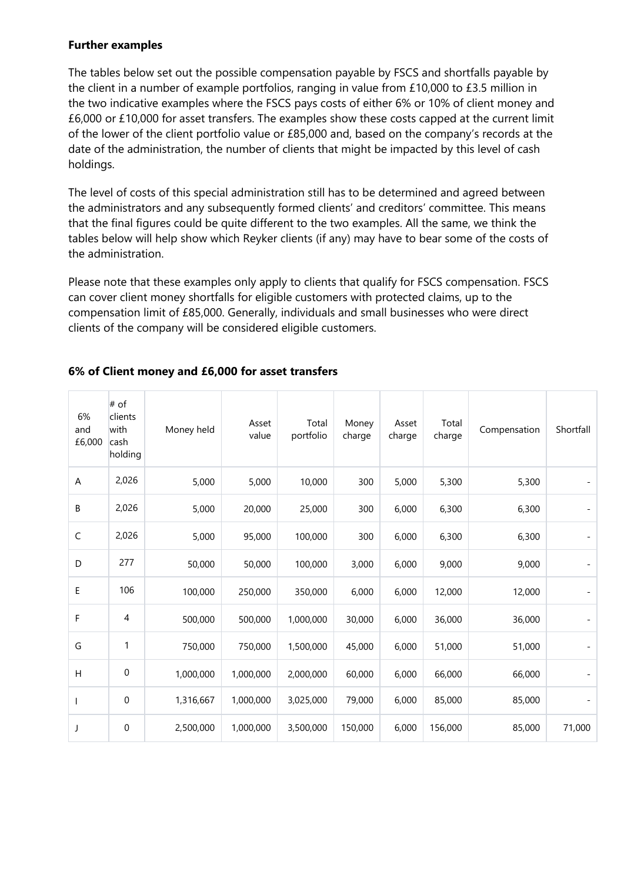## **Further examples**

The tables below set out the possible compensation payable by FSCS and shortfalls payable by the client in a number of example portfolios, ranging in value from £10,000 to £3.5 million in the two indicative examples where the FSCS pays costs of either 6% or 10% of client money and £6,000 or £10,000 for asset transfers. The examples show these costs capped at the current limit of the lower of the client portfolio value or £85,000 and, based on the company's records at the date of the administration, the number of clients that might be impacted by this level of cash holdings.

The level of costs of this special administration still has to be determined and agreed between the administrators and any subsequently formed clients' and creditors' committee. This means that the final figures could be quite different to the two examples. All the same, we think the tables below will help show which Reyker clients (if any) may have to bear some of the costs of the administration.

Please note that these examples only apply to clients that qualify for FSCS compensation. FSCS can cover client money shortfalls for [eligible customers](https://protect-eu.mimecast.com/s/Zo3BC4xzzsYopgPiV0jkG?domain=fscs.org.uk) with protected claims, up to the compensation limit of £85,000. Generally, individuals and small businesses who were direct clients of the company will be considered eligible customers.

| 6%<br>and<br>£6,000 | # of<br>clients<br>with<br>cash<br>holding | Money held | Asset<br>value | Total<br>portfolio | Money<br>charge | Asset<br>charge | Total<br>charge | Compensation | Shortfall |
|---------------------|--------------------------------------------|------------|----------------|--------------------|-----------------|-----------------|-----------------|--------------|-----------|
| A                   | 2,026                                      | 5,000      | 5,000          | 10,000             | 300             | 5,000           | 5,300           | 5,300        |           |
| В                   | 2,026                                      | 5,000      | 20,000         | 25,000             | 300             | 6,000           | 6,300           | 6,300        |           |
| $\mathsf C$         | 2,026                                      | 5,000      | 95,000         | 100,000            | 300             | 6,000           | 6,300           | 6,300        |           |
| D                   | 277                                        | 50,000     | 50,000         | 100,000            | 3,000           | 6,000           | 9,000           | 9,000        |           |
| E                   | 106                                        | 100,000    | 250,000        | 350,000            | 6,000           | 6,000           | 12,000          | 12,000       |           |
| F                   | $\overline{4}$                             | 500,000    | 500,000        | 1,000,000          | 30,000          | 6,000           | 36,000          | 36,000       |           |
| G                   | 1                                          | 750,000    | 750,000        | 1,500,000          | 45,000          | 6,000           | 51,000          | 51,000       |           |
| H                   | $\pmb{0}$                                  | 1,000,000  | 1,000,000      | 2,000,000          | 60,000          | 6,000           | 66,000          | 66,000       |           |
|                     | $\pmb{0}$                                  | 1,316,667  | 1,000,000      | 3,025,000          | 79,000          | 6,000           | 85,000          | 85,000       |           |
| J                   | $\pmb{0}$                                  | 2,500,000  | 1,000,000      | 3,500,000          | 150,000         | 6,000           | 156,000         | 85,000       | 71,000    |
|                     |                                            |            |                |                    |                 |                 |                 |              |           |

# **6% of Client money and £6,000 for asset transfers**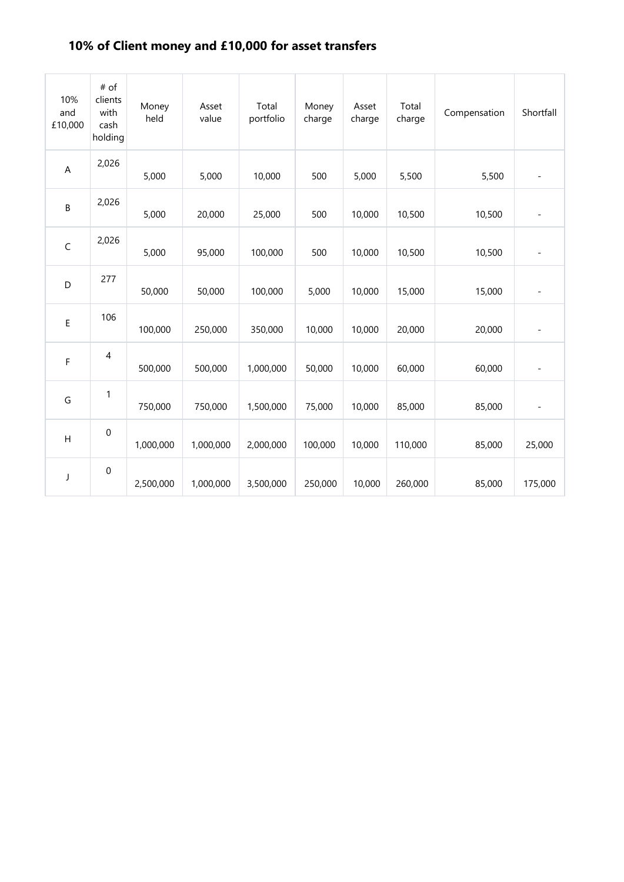# **10% of Client money and £10,000 for asset transfers**

| 10%<br>and<br>£10,000 | # of<br>clients<br>with<br>cash<br>holding | Money<br>held | Asset<br>value | Total<br>portfolio | Money<br>charge | Asset<br>charge | Total<br>charge | Compensation | Shortfall |
|-----------------------|--------------------------------------------|---------------|----------------|--------------------|-----------------|-----------------|-----------------|--------------|-----------|
| $\sf A$               | 2,026                                      | 5,000         | 5,000          | 10,000             | 500             | 5,000           | 5,500           | 5,500        |           |
| B                     | 2,026                                      | 5,000         | 20,000         | 25,000             | 500             | 10,000          | 10,500          | 10,500       |           |
| $\mathsf{C}$          | 2,026                                      | 5,000         | 95,000         | 100,000            | 500             | 10,000          | 10,500          | 10,500       |           |
| D                     | 277                                        | 50,000        | 50,000         | 100,000            | 5,000           | 10,000          | 15,000          | 15,000       |           |
| E                     | 106                                        | 100,000       | 250,000        | 350,000            | 10,000          | 10,000          | 20,000          | 20,000       |           |
| F                     | $\overline{4}$                             | 500,000       | 500,000        | 1,000,000          | 50,000          | 10,000          | 60,000          | 60,000       |           |
| G                     | $\mathbf{1}$                               | 750,000       | 750,000        | 1,500,000          | 75,000          | 10,000          | 85,000          | 85,000       |           |
| $\overline{H}$        | $\boldsymbol{0}$                           | 1,000,000     | 1,000,000      | 2,000,000          | 100,000         | 10,000          | 110,000         | 85,000       | 25,000    |
| J                     | $\boldsymbol{0}$                           | 2,500,000     | 1,000,000      | 3,500,000          | 250,000         | 10,000          | 260,000         | 85,000       | 175,000   |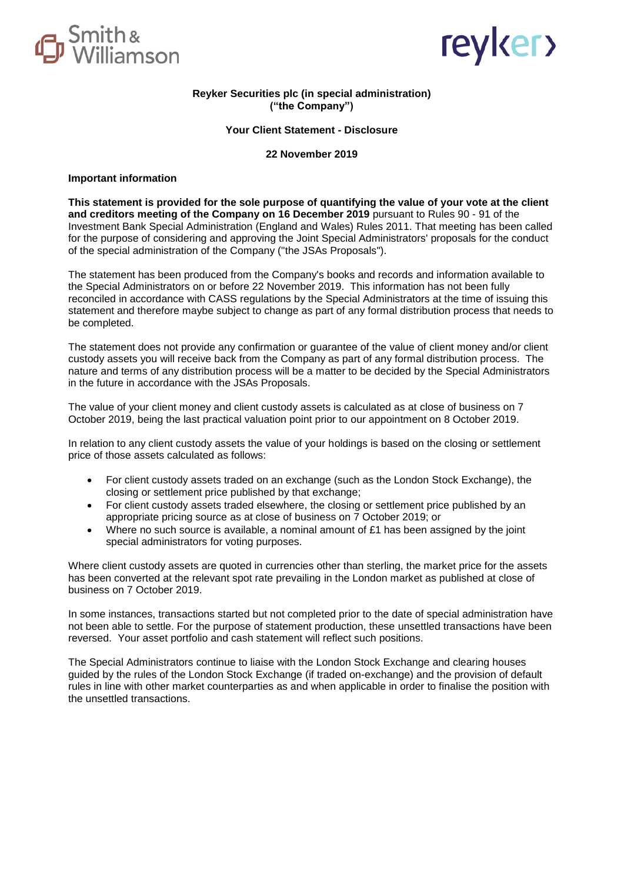



### **Reyker Securities plc (in special administration) ("the Company")**

### **Your Client Statement - Disclosure**

### **22 November 2019**

#### **Important information**

**This statement is provided for the sole purpose of quantifying the value of your vote at the client and creditors meeting of the Company on 16 December 2019** pursuant to Rules 90 - 91 of the Investment Bank Special Administration (England and Wales) Rules 2011. That meeting has been called for the purpose of considering and approving the Joint Special Administrators' proposals for the conduct of the special administration of the Company ("the JSAs Proposals").

The statement has been produced from the Company's books and records and information available to the Special Administrators on or before 22 November 2019. This information has not been fully reconciled in accordance with CASS regulations by the Special Administrators at the time of issuing this statement and therefore maybe subject to change as part of any formal distribution process that needs to be completed.

The statement does not provide any confirmation or guarantee of the value of client money and/or client custody assets you will receive back from the Company as part of any formal distribution process. The nature and terms of any distribution process will be a matter to be decided by the Special Administrators in the future in accordance with the JSAs Proposals.

The value of your client money and client custody assets is calculated as at close of business on 7 October 2019, being the last practical valuation point prior to our appointment on 8 October 2019.

In relation to any client custody assets the value of your holdings is based on the closing or settlement price of those assets calculated as follows:

- For client custody assets traded on an exchange (such as the London Stock Exchange), the closing or settlement price published by that exchange;
- For client custody assets traded elsewhere, the closing or settlement price published by an appropriate pricing source as at close of business on 7 October 2019; or
- Where no such source is available, a nominal amount of £1 has been assigned by the joint special administrators for voting purposes.

Where client custody assets are quoted in currencies other than sterling, the market price for the assets has been converted at the relevant spot rate prevailing in the London market as published at close of business on 7 October 2019.

In some instances, transactions started but not completed prior to the date of special administration have not been able to settle. For the purpose of statement production, these unsettled transactions have been reversed. Your asset portfolio and cash statement will reflect such positions.

The Special Administrators continue to liaise with the London Stock Exchange and clearing houses guided by the rules of the London Stock Exchange (if traded on-exchange) and the provision of default rules in line with other market counterparties as and when applicable in order to finalise the position with the unsettled transactions.